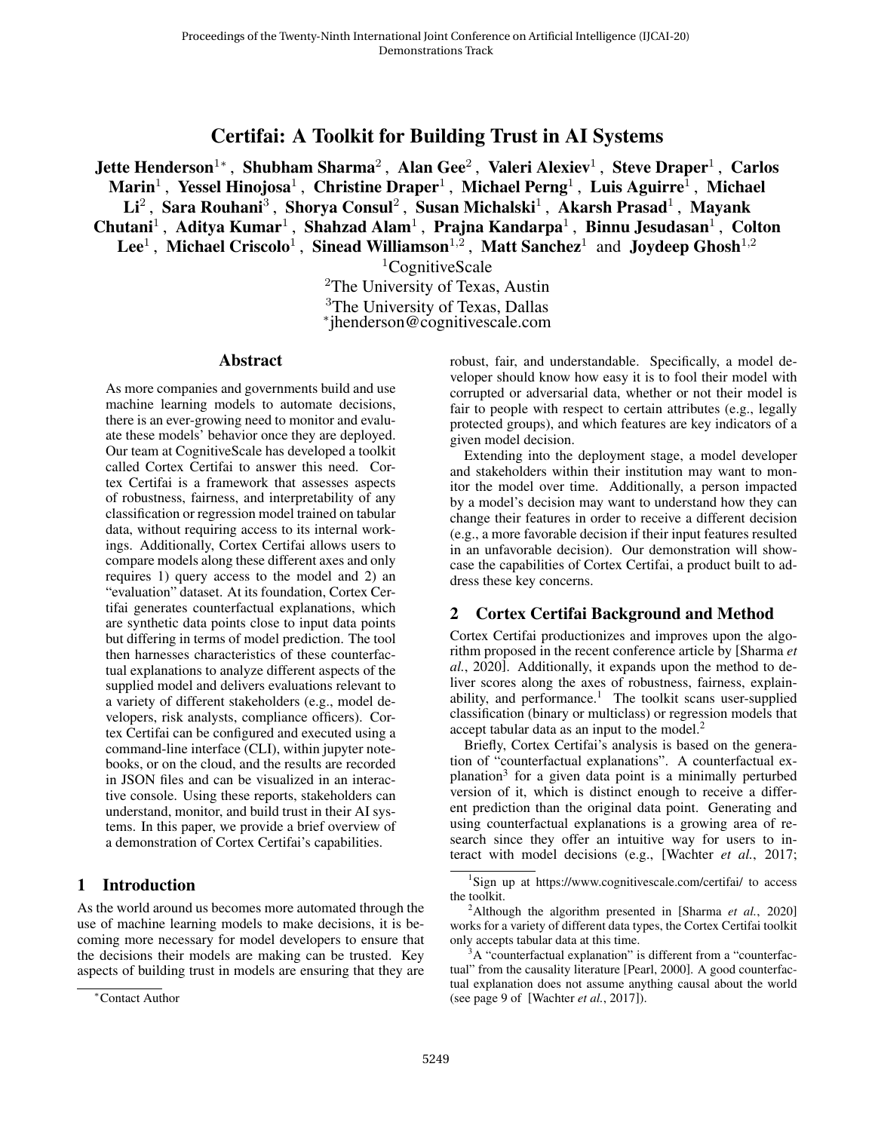# Certifai: A Toolkit for Building Trust in AI Systems

Jette Henderson $^{1*}$ , Shubham Sharma $^{2}$ , Alan Gee $^{2}$ , Valeri Alexiev $^{1}$ , Steve Draper $^{1}$ , Carlos Marin $^1$  , Yessel Hinojosa $^1$  , Christine Draper $^1$  , Michael Perng $^1$  , Luis Aguirre $^1$  , Michael  ${\rm Li}^2$  , Sara Rouhani<sup>3</sup> , Shorya Consul<sup>2</sup> , Susan Michalski<sup>1</sup> , Akarsh Prasad<sup>1</sup> , Mayank Chutani<sup>1</sup>, Aditya Kumar<sup>1</sup>, Shahzad Alam<sup>1</sup>, Prajna Kandarpa<sup>1</sup>, Binnu Jesudasan<sup>1</sup>, Colton Lee<sup>1</sup>, Michael Criscolo<sup>1</sup>, Sinead Williamson<sup>1,2</sup>, Matt Sanchez<sup>1</sup> and Joydeep Ghosh<sup>1,2</sup>

 ${}^{1}$ CognitiveScale

<sup>2</sup>The University of Texas, Austin <sup>3</sup>The University of Texas, Dallas ∗ jhenderson@cognitivescale.com

#### Abstract

As more companies and governments build and use machine learning models to automate decisions, there is an ever-growing need to monitor and evaluate these models' behavior once they are deployed. Our team at CognitiveScale has developed a toolkit called Cortex Certifai to answer this need. Cortex Certifai is a framework that assesses aspects of robustness, fairness, and interpretability of any classification or regression model trained on tabular data, without requiring access to its internal workings. Additionally, Cortex Certifai allows users to compare models along these different axes and only requires 1) query access to the model and 2) an "evaluation" dataset. At its foundation, Cortex Certifai generates counterfactual explanations, which are synthetic data points close to input data points but differing in terms of model prediction. The tool then harnesses characteristics of these counterfactual explanations to analyze different aspects of the supplied model and delivers evaluations relevant to a variety of different stakeholders (e.g., model developers, risk analysts, compliance officers). Cortex Certifai can be configured and executed using a command-line interface (CLI), within jupyter notebooks, or on the cloud, and the results are recorded in JSON files and can be visualized in an interactive console. Using these reports, stakeholders can understand, monitor, and build trust in their AI systems. In this paper, we provide a brief overview of a demonstration of Cortex Certifai's capabilities.

#### 1 Introduction

As the world around us becomes more automated through the use of machine learning models to make decisions, it is becoming more necessary for model developers to ensure that the decisions their models are making can be trusted. Key aspects of building trust in models are ensuring that they are robust, fair, and understandable. Specifically, a model developer should know how easy it is to fool their model with corrupted or adversarial data, whether or not their model is fair to people with respect to certain attributes (e.g., legally protected groups), and which features are key indicators of a given model decision.

Extending into the deployment stage, a model developer and stakeholders within their institution may want to monitor the model over time. Additionally, a person impacted by a model's decision may want to understand how they can change their features in order to receive a different decision (e.g., a more favorable decision if their input features resulted in an unfavorable decision). Our demonstration will showcase the capabilities of Cortex Certifai, a product built to address these key concerns.

### 2 Cortex Certifai Background and Method

Cortex Certifai productionizes and improves upon the algorithm proposed in the recent conference article by [\[Sharma](#page-2-0) *et al.*[, 2020\]](#page-2-0). Additionally, it expands upon the method to deliver scores along the axes of robustness, fairness, explain-ability, and performance.<sup>[1](#page-0-0)</sup> The toolkit scans user-supplied classification (binary or multiclass) or regression models that accept tabular data as an input to the model.<sup>[2](#page-0-1)</sup>

Briefly, Cortex Certifai's analysis is based on the generation of "counterfactual explanations". A counterfactual ex-planation<sup>[3](#page-0-2)</sup> for a given data point is a minimally perturbed version of it, which is distinct enough to receive a different prediction than the original data point. Generating and using counterfactual explanations is a growing area of research since they offer an intuitive way for users to interact with model decisions (e.g., [\[Wachter](#page-2-1) *et al.*, 2017;

<sup>∗</sup>Contact Author

<span id="page-0-0"></span><sup>&</sup>lt;sup>1</sup>Sign up at https://www.cognitivescale.com/certifai/ to access the toolkit.

<span id="page-0-1"></span><sup>2</sup>Although the algorithm presented in [\[Sharma](#page-2-0) *et al.*, 2020] works for a variety of different data types, the Cortex Certifai toolkit only accepts tabular data at this time.

<span id="page-0-2"></span><sup>&</sup>lt;sup>3</sup>A "counterfactual explanation" is different from a "counterfactual" from the causality literature [\[Pearl, 2000\]](#page-2-2). A good counterfactual explanation does not assume anything causal about the world (see page 9 of [\[Wachter](#page-2-1) *et al.*, 2017]).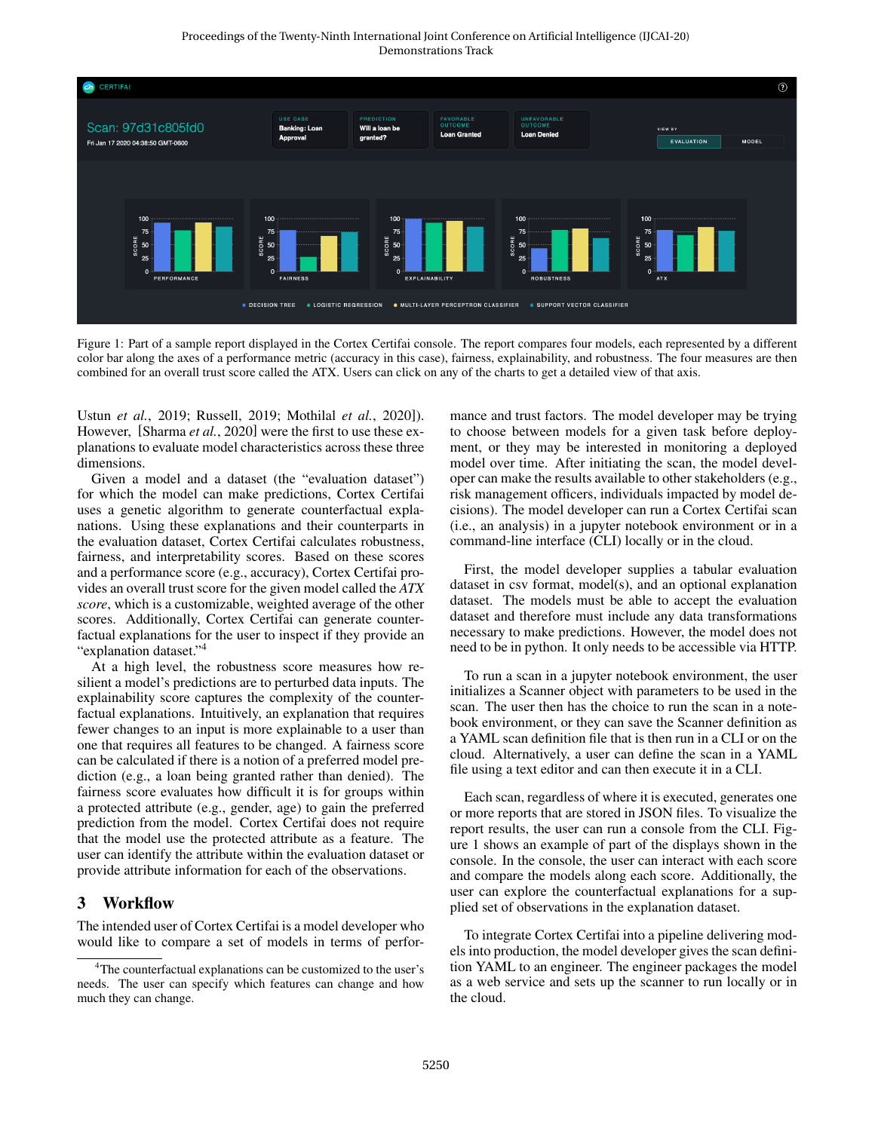<span id="page-1-1"></span>

Figure 1: Part of a sample report displayed in the Cortex Certifai console. The report compares four models, each represented by a different color bar along the axes of a performance metric (accuracy in this case), fairness, explainability, and robustness. The four measures are then combined for an overall trust score called the ATX. Users can click on any of the charts to get a detailed view of that axis.

Ustun *et al.*[, 2019;](#page-2-3) [Russell, 2019;](#page-2-4) [Mothilal](#page-2-5) *et al.*, 2020]). However, [\[Sharma](#page-2-0) *et al.*, 2020] were the first to use these explanations to evaluate model characteristics across these three dimensions.

Given a model and a dataset (the "evaluation dataset") for which the model can make predictions, Cortex Certifai uses a genetic algorithm to generate counterfactual explanations. Using these explanations and their counterparts in the evaluation dataset, Cortex Certifai calculates robustness, fairness, and interpretability scores. Based on these scores and a performance score (e.g., accuracy), Cortex Certifai provides an overall trust score for the given model called the *ATX score*, which is a customizable, weighted average of the other scores. Additionally, Cortex Certifai can generate counterfactual explanations for the user to inspect if they provide an "explanation dataset."<sup>[4](#page-1-0)</sup>

At a high level, the robustness score measures how resilient a model's predictions are to perturbed data inputs. The explainability score captures the complexity of the counterfactual explanations. Intuitively, an explanation that requires fewer changes to an input is more explainable to a user than one that requires all features to be changed. A fairness score can be calculated if there is a notion of a preferred model prediction (e.g., a loan being granted rather than denied). The fairness score evaluates how difficult it is for groups within a protected attribute (e.g., gender, age) to gain the preferred prediction from the model. Cortex Certifai does not require that the model use the protected attribute as a feature. The user can identify the attribute within the evaluation dataset or provide attribute information for each of the observations.

### 3 Workflow

The intended user of Cortex Certifai is a model developer who would like to compare a set of models in terms of performance and trust factors. The model developer may be trying to choose between models for a given task before deployment, or they may be interested in monitoring a deployed model over time. After initiating the scan, the model developer can make the results available to other stakeholders (e.g., risk management officers, individuals impacted by model decisions). The model developer can run a Cortex Certifai scan (i.e., an analysis) in a jupyter notebook environment or in a command-line interface (CLI) locally or in the cloud.

First, the model developer supplies a tabular evaluation dataset in csv format, model(s), and an optional explanation dataset. The models must be able to accept the evaluation dataset and therefore must include any data transformations necessary to make predictions. However, the model does not need to be in python. It only needs to be accessible via HTTP.

To run a scan in a jupyter notebook environment, the user initializes a Scanner object with parameters to be used in the scan. The user then has the choice to run the scan in a notebook environment, or they can save the Scanner definition as a YAML scan definition file that is then run in a CLI or on the cloud. Alternatively, a user can define the scan in a YAML file using a text editor and can then execute it in a CLI.

Each scan, regardless of where it is executed, generates one or more reports that are stored in JSON files. To visualize the report results, the user can run a console from the CLI. Figure [1](#page-1-1) shows an example of part of the displays shown in the console. In the console, the user can interact with each score and compare the models along each score. Additionally, the user can explore the counterfactual explanations for a supplied set of observations in the explanation dataset.

To integrate Cortex Certifai into a pipeline delivering models into production, the model developer gives the scan definition YAML to an engineer. The engineer packages the model as a web service and sets up the scanner to run locally or in the cloud.

<span id="page-1-0"></span><sup>&</sup>lt;sup>4</sup>The counterfactual explanations can be customized to the user's needs. The user can specify which features can change and how much they can change.